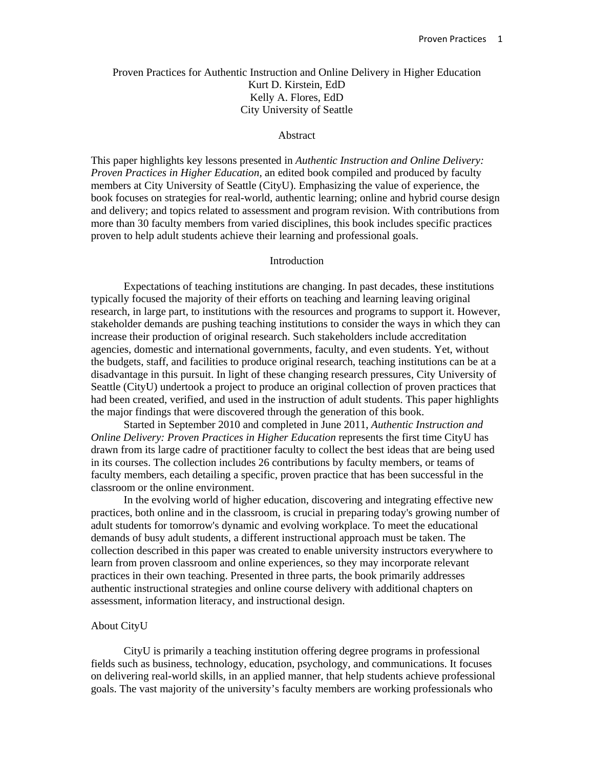# Proven Practices for Authentic Instruction and Online Delivery in Higher Education Kurt D. Kirstein, EdD Kelly A. Flores, EdD City University of Seattle

#### Abstract

This paper highlights key lessons presented in *Authentic Instruction and Online Delivery: Proven Practices in Higher Education,* an edited book compiled and produced by faculty members at City University of Seattle (CityU). Emphasizing the value of experience, the book focuses on strategies for real-world, authentic learning; online and hybrid course design and delivery; and topics related to assessment and program revision. With contributions from more than 30 faculty members from varied disciplines, this book includes specific practices proven to help adult students achieve their learning and professional goals.

## Introduction

Expectations of teaching institutions are changing. In past decades, these institutions typically focused the majority of their efforts on teaching and learning leaving original research, in large part, to institutions with the resources and programs to support it. However, stakeholder demands are pushing teaching institutions to consider the ways in which they can increase their production of original research. Such stakeholders include accreditation agencies, domestic and international governments, faculty, and even students. Yet, without the budgets, staff, and facilities to produce original research, teaching institutions can be at a disadvantage in this pursuit. In light of these changing research pressures, City University of Seattle (CityU) undertook a project to produce an original collection of proven practices that had been created, verified, and used in the instruction of adult students. This paper highlights the major findings that were discovered through the generation of this book.

Started in September 2010 and completed in June 2011, *Authentic Instruction and Online Delivery: Proven Practices in Higher Education* represents the first time CityU has drawn from its large cadre of practitioner faculty to collect the best ideas that are being used in its courses. The collection includes 26 contributions by faculty members, or teams of faculty members, each detailing a specific, proven practice that has been successful in the classroom or the online environment.

In the evolving world of higher education, discovering and integrating effective new practices, both online and in the classroom, is crucial in preparing today's growing number of adult students for tomorrow's dynamic and evolving workplace. To meet the educational demands of busy adult students, a different instructional approach must be taken. The collection described in this paper was created to enable university instructors everywhere to learn from proven classroom and online experiences, so they may incorporate relevant practices in their own teaching. Presented in three parts, the book primarily addresses authentic instructional strategies and online course delivery with additional chapters on assessment, information literacy, and instructional design.

### About CityU

 CityU is primarily a teaching institution offering degree programs in professional fields such as business, technology, education, psychology, and communications. It focuses on delivering real-world skills, in an applied manner, that help students achieve professional goals. The vast majority of the university's faculty members are working professionals who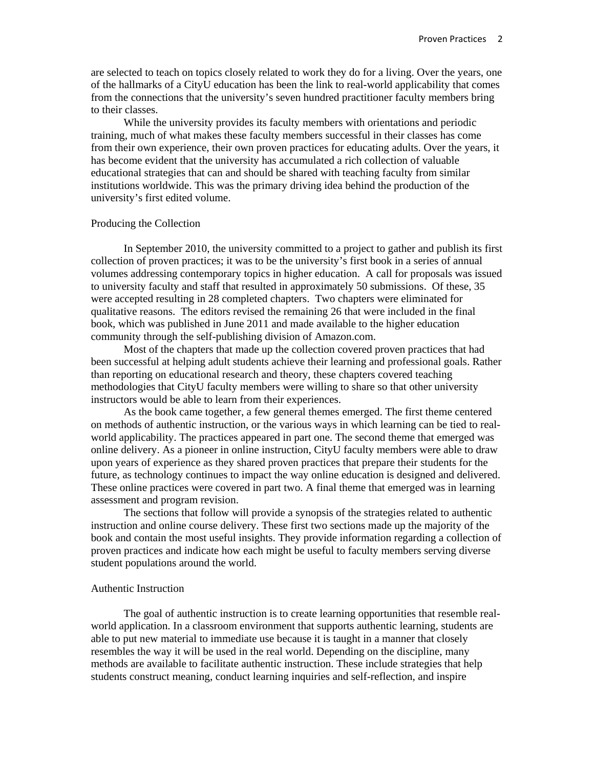are selected to teach on topics closely related to work they do for a living. Over the years, one of the hallmarks of a CityU education has been the link to real-world applicability that comes from the connections that the university's seven hundred practitioner faculty members bring to their classes.

 While the university provides its faculty members with orientations and periodic training, much of what makes these faculty members successful in their classes has come from their own experience, their own proven practices for educating adults. Over the years, it has become evident that the university has accumulated a rich collection of valuable educational strategies that can and should be shared with teaching faculty from similar institutions worldwide. This was the primary driving idea behind the production of the university's first edited volume.

### Producing the Collection

In September 2010, the university committed to a project to gather and publish its first collection of proven practices; it was to be the university's first book in a series of annual volumes addressing contemporary topics in higher education. A call for proposals was issued to university faculty and staff that resulted in approximately 50 submissions. Of these, 35 were accepted resulting in 28 completed chapters. Two chapters were eliminated for qualitative reasons. The editors revised the remaining 26 that were included in the final book, which was published in June 2011 and made available to the higher education community through the self-publishing division of Amazon.com.

Most of the chapters that made up the collection covered proven practices that had been successful at helping adult students achieve their learning and professional goals. Rather than reporting on educational research and theory, these chapters covered teaching methodologies that CityU faculty members were willing to share so that other university instructors would be able to learn from their experiences.

As the book came together, a few general themes emerged. The first theme centered on methods of authentic instruction, or the various ways in which learning can be tied to realworld applicability. The practices appeared in part one. The second theme that emerged was online delivery. As a pioneer in online instruction, CityU faculty members were able to draw upon years of experience as they shared proven practices that prepare their students for the future, as technology continues to impact the way online education is designed and delivered. These online practices were covered in part two. A final theme that emerged was in learning assessment and program revision.

The sections that follow will provide a synopsis of the strategies related to authentic instruction and online course delivery. These first two sections made up the majority of the book and contain the most useful insights. They provide information regarding a collection of proven practices and indicate how each might be useful to faculty members serving diverse student populations around the world.

### Authentic Instruction

The goal of authentic instruction is to create learning opportunities that resemble realworld application. In a classroom environment that supports authentic learning, students are able to put new material to immediate use because it is taught in a manner that closely resembles the way it will be used in the real world. Depending on the discipline, many methods are available to facilitate authentic instruction. These include strategies that help students construct meaning, conduct learning inquiries and self-reflection, and inspire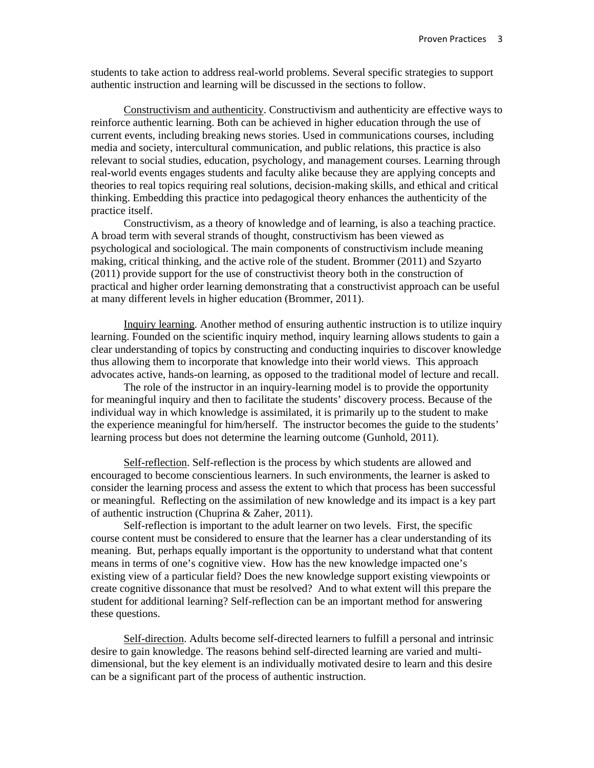students to take action to address real-world problems. Several specific strategies to support authentic instruction and learning will be discussed in the sections to follow.

Constructivism and authenticity. Constructivism and authenticity are effective ways to reinforce authentic learning. Both can be achieved in higher education through the use of current events, including breaking news stories. Used in communications courses, including media and society, intercultural communication, and public relations, this practice is also relevant to social studies, education, psychology, and management courses. Learning through real-world events engages students and faculty alike because they are applying concepts and theories to real topics requiring real solutions, decision-making skills, and ethical and critical thinking. Embedding this practice into pedagogical theory enhances the authenticity of the practice itself.

Constructivism, as a theory of knowledge and of learning, is also a teaching practice. A broad term with several strands of thought, constructivism has been viewed as psychological and sociological. The main components of constructivism include meaning making, critical thinking, and the active role of the student. Brommer (2011) and Szyarto (2011) provide support for the use of constructivist theory both in the construction of practical and higher order learning demonstrating that a constructivist approach can be useful at many different levels in higher education (Brommer, 2011).

Inquiry learning. Another method of ensuring authentic instruction is to utilize inquiry learning. Founded on the scientific inquiry method, inquiry learning allows students to gain a clear understanding of topics by constructing and conducting inquiries to discover knowledge thus allowing them to incorporate that knowledge into their world views. This approach advocates active, hands-on learning, as opposed to the traditional model of lecture and recall.

The role of the instructor in an inquiry-learning model is to provide the opportunity for meaningful inquiry and then to facilitate the students' discovery process. Because of the individual way in which knowledge is assimilated, it is primarily up to the student to make the experience meaningful for him/herself. The instructor becomes the guide to the students' learning process but does not determine the learning outcome (Gunhold, 2011).

Self-reflection. Self-reflection is the process by which students are allowed and encouraged to become conscientious learners. In such environments, the learner is asked to consider the learning process and assess the extent to which that process has been successful or meaningful. Reflecting on the assimilation of new knowledge and its impact is a key part of authentic instruction (Chuprina & Zaher, 2011).

Self-reflection is important to the adult learner on two levels. First, the specific course content must be considered to ensure that the learner has a clear understanding of its meaning. But, perhaps equally important is the opportunity to understand what that content means in terms of one's cognitive view. How has the new knowledge impacted one's existing view of a particular field? Does the new knowledge support existing viewpoints or create cognitive dissonance that must be resolved? And to what extent will this prepare the student for additional learning? Self-reflection can be an important method for answering these questions.

Self-direction. Adults become self-directed learners to fulfill a personal and intrinsic desire to gain knowledge. The reasons behind self-directed learning are varied and multidimensional, but the key element is an individually motivated desire to learn and this desire can be a significant part of the process of authentic instruction.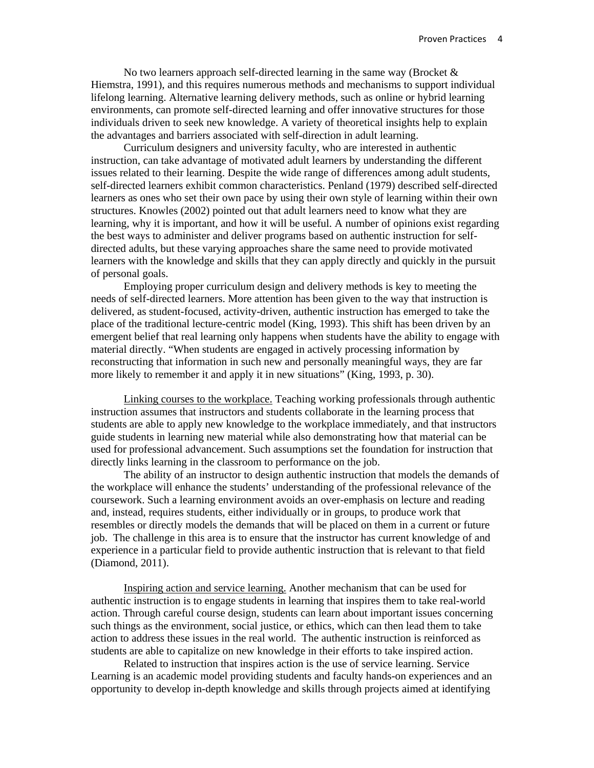No two learners approach self-directed learning in the same way (Brocket  $\&$ Hiemstra, 1991), and this requires numerous methods and mechanisms to support individual lifelong learning. Alternative learning delivery methods, such as online or hybrid learning environments, can promote self-directed learning and offer innovative structures for those individuals driven to seek new knowledge. A variety of theoretical insights help to explain the advantages and barriers associated with self-direction in adult learning.

Curriculum designers and university faculty, who are interested in authentic instruction, can take advantage of motivated adult learners by understanding the different issues related to their learning. Despite the wide range of differences among adult students, self-directed learners exhibit common characteristics. Penland (1979) described self-directed learners as ones who set their own pace by using their own style of learning within their own structures. Knowles (2002) pointed out that adult learners need to know what they are learning, why it is important, and how it will be useful. A number of opinions exist regarding the best ways to administer and deliver programs based on authentic instruction for selfdirected adults, but these varying approaches share the same need to provide motivated learners with the knowledge and skills that they can apply directly and quickly in the pursuit of personal goals.

Employing proper curriculum design and delivery methods is key to meeting the needs of self-directed learners. More attention has been given to the way that instruction is delivered, as student-focused, activity-driven, authentic instruction has emerged to take the place of the traditional lecture-centric model (King, 1993). This shift has been driven by an emergent belief that real learning only happens when students have the ability to engage with material directly. "When students are engaged in actively processing information by reconstructing that information in such new and personally meaningful ways, they are far more likely to remember it and apply it in new situations" (King, 1993, p. 30).

Linking courses to the workplace. Teaching working professionals through authentic instruction assumes that instructors and students collaborate in the learning process that students are able to apply new knowledge to the workplace immediately, and that instructors guide students in learning new material while also demonstrating how that material can be used for professional advancement. Such assumptions set the foundation for instruction that directly links learning in the classroom to performance on the job.

The ability of an instructor to design authentic instruction that models the demands of the workplace will enhance the students' understanding of the professional relevance of the coursework. Such a learning environment avoids an over-emphasis on lecture and reading and, instead, requires students, either individually or in groups, to produce work that resembles or directly models the demands that will be placed on them in a current or future job. The challenge in this area is to ensure that the instructor has current knowledge of and experience in a particular field to provide authentic instruction that is relevant to that field (Diamond, 2011).

Inspiring action and service learning. Another mechanism that can be used for authentic instruction is to engage students in learning that inspires them to take real-world action. Through careful course design, students can learn about important issues concerning such things as the environment, social justice, or ethics, which can then lead them to take action to address these issues in the real world. The authentic instruction is reinforced as students are able to capitalize on new knowledge in their efforts to take inspired action.

Related to instruction that inspires action is the use of service learning. Service Learning is an academic model providing students and faculty hands-on experiences and an opportunity to develop in-depth knowledge and skills through projects aimed at identifying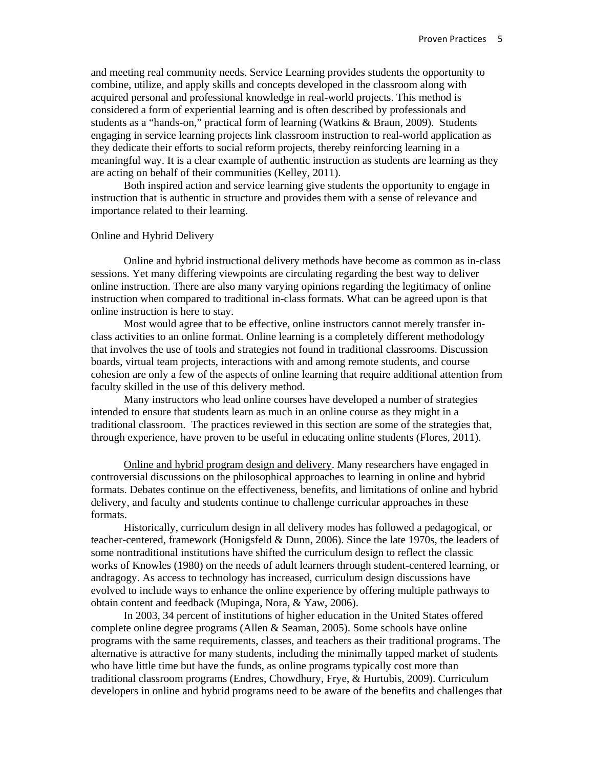and meeting real community needs. Service Learning provides students the opportunity to combine, utilize, and apply skills and concepts developed in the classroom along with acquired personal and professional knowledge in real-world projects. This method is considered a form of experiential learning and is often described by professionals and students as a "hands-on," practical form of learning (Watkins & Braun, 2009). Students engaging in service learning projects link classroom instruction to real-world application as they dedicate their efforts to social reform projects, thereby reinforcing learning in a meaningful way. It is a clear example of authentic instruction as students are learning as they are acting on behalf of their communities (Kelley, 2011).

Both inspired action and service learning give students the opportunity to engage in instruction that is authentic in structure and provides them with a sense of relevance and importance related to their learning.

### Online and Hybrid Delivery

Online and hybrid instructional delivery methods have become as common as in-class sessions. Yet many differing viewpoints are circulating regarding the best way to deliver online instruction. There are also many varying opinions regarding the legitimacy of online instruction when compared to traditional in-class formats. What can be agreed upon is that online instruction is here to stay.

Most would agree that to be effective, online instructors cannot merely transfer inclass activities to an online format. Online learning is a completely different methodology that involves the use of tools and strategies not found in traditional classrooms. Discussion boards, virtual team projects, interactions with and among remote students, and course cohesion are only a few of the aspects of online learning that require additional attention from faculty skilled in the use of this delivery method.

Many instructors who lead online courses have developed a number of strategies intended to ensure that students learn as much in an online course as they might in a traditional classroom. The practices reviewed in this section are some of the strategies that, through experience, have proven to be useful in educating online students (Flores, 2011).

 Online and hybrid program design and delivery. Many researchers have engaged in controversial discussions on the philosophical approaches to learning in online and hybrid formats. Debates continue on the effectiveness, benefits, and limitations of online and hybrid delivery, and faculty and students continue to challenge curricular approaches in these formats.

 Historically, curriculum design in all delivery modes has followed a pedagogical, or teacher-centered, framework (Honigsfeld & Dunn, 2006). Since the late 1970s, the leaders of some nontraditional institutions have shifted the curriculum design to reflect the classic works of Knowles (1980) on the needs of adult learners through student-centered learning, or andragogy. As access to technology has increased, curriculum design discussions have evolved to include ways to enhance the online experience by offering multiple pathways to obtain content and feedback (Mupinga, Nora, & Yaw, 2006).

 In 2003, 34 percent of institutions of higher education in the United States offered complete online degree programs (Allen & Seaman, 2005). Some schools have online programs with the same requirements, classes, and teachers as their traditional programs. The alternative is attractive for many students, including the minimally tapped market of students who have little time but have the funds, as online programs typically cost more than traditional classroom programs (Endres, Chowdhury, Frye, & Hurtubis, 2009). Curriculum developers in online and hybrid programs need to be aware of the benefits and challenges that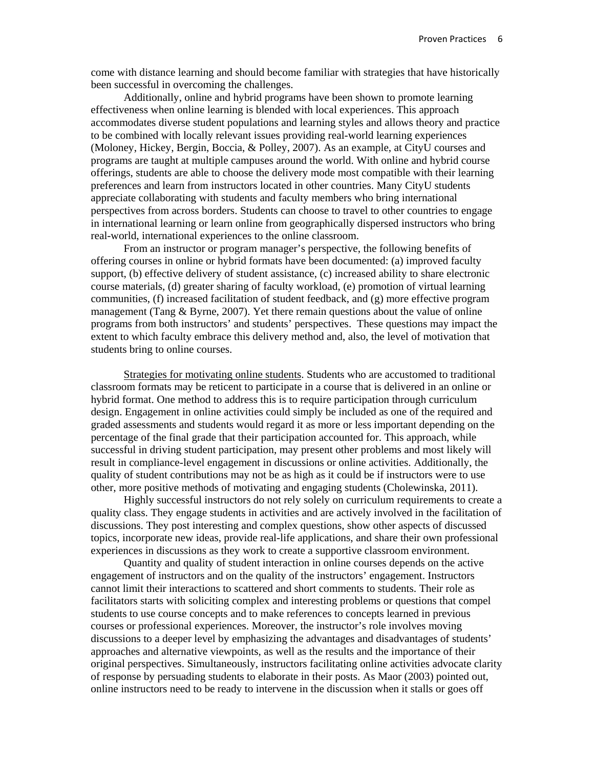come with distance learning and should become familiar with strategies that have historically been successful in overcoming the challenges.

Additionally, online and hybrid programs have been shown to promote learning effectiveness when online learning is blended with local experiences. This approach accommodates diverse student populations and learning styles and allows theory and practice to be combined with locally relevant issues providing real-world learning experiences (Moloney, Hickey, Bergin, Boccia, & Polley, 2007). As an example, at CityU courses and programs are taught at multiple campuses around the world. With online and hybrid course offerings, students are able to choose the delivery mode most compatible with their learning preferences and learn from instructors located in other countries. Many CityU students appreciate collaborating with students and faculty members who bring international perspectives from across borders. Students can choose to travel to other countries to engage in international learning or learn online from geographically dispersed instructors who bring real-world, international experiences to the online classroom.

From an instructor or program manager's perspective, the following benefits of offering courses in online or hybrid formats have been documented: (a) improved faculty support, (b) effective delivery of student assistance, (c) increased ability to share electronic course materials, (d) greater sharing of faculty workload, (e) promotion of virtual learning communities,  $(f)$  increased facilitation of student feedback, and  $(g)$  more effective program management (Tang & Byrne, 2007). Yet there remain questions about the value of online programs from both instructors' and students' perspectives. These questions may impact the extent to which faculty embrace this delivery method and, also, the level of motivation that students bring to online courses.

Strategies for motivating online students. Students who are accustomed to traditional classroom formats may be reticent to participate in a course that is delivered in an online or hybrid format. One method to address this is to require participation through curriculum design. Engagement in online activities could simply be included as one of the required and graded assessments and students would regard it as more or less important depending on the percentage of the final grade that their participation accounted for. This approach, while successful in driving student participation, may present other problems and most likely will result in compliance-level engagement in discussions or online activities. Additionally, the quality of student contributions may not be as high as it could be if instructors were to use other, more positive methods of motivating and engaging students (Cholewinska, 2011).

Highly successful instructors do not rely solely on curriculum requirements to create a quality class. They engage students in activities and are actively involved in the facilitation of discussions. They post interesting and complex questions, show other aspects of discussed topics, incorporate new ideas, provide real-life applications, and share their own professional experiences in discussions as they work to create a supportive classroom environment.

Quantity and quality of student interaction in online courses depends on the active engagement of instructors and on the quality of the instructors' engagement. Instructors cannot limit their interactions to scattered and short comments to students. Their role as facilitators starts with soliciting complex and interesting problems or questions that compel students to use course concepts and to make references to concepts learned in previous courses or professional experiences. Moreover, the instructor's role involves moving discussions to a deeper level by emphasizing the advantages and disadvantages of students' approaches and alternative viewpoints, as well as the results and the importance of their original perspectives. Simultaneously, instructors facilitating online activities advocate clarity of response by persuading students to elaborate in their posts. As Maor (2003) pointed out, online instructors need to be ready to intervene in the discussion when it stalls or goes off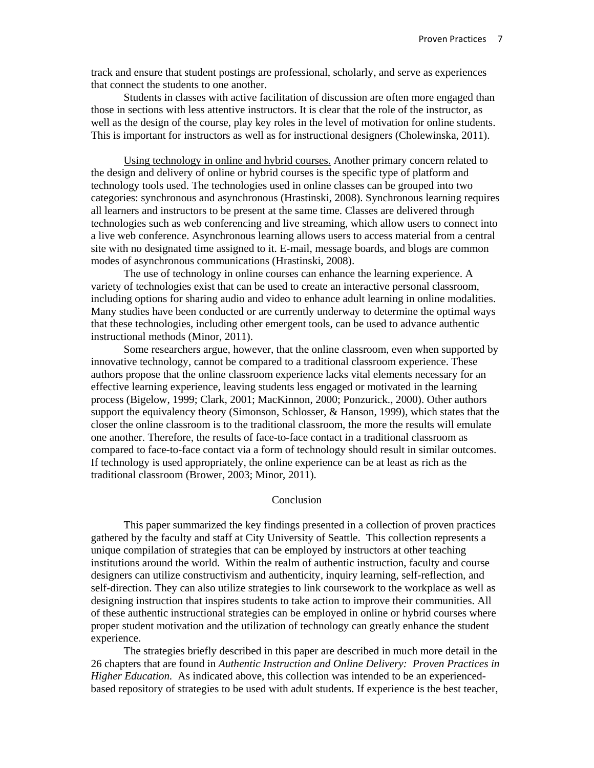track and ensure that student postings are professional, scholarly, and serve as experiences that connect the students to one another.

Students in classes with active facilitation of discussion are often more engaged than those in sections with less attentive instructors. It is clear that the role of the instructor, as well as the design of the course, play key roles in the level of motivation for online students. This is important for instructors as well as for instructional designers (Cholewinska, 2011).

Using technology in online and hybrid courses. Another primary concern related to the design and delivery of online or hybrid courses is the specific type of platform and technology tools used. The technologies used in online classes can be grouped into two categories: synchronous and asynchronous (Hrastinski, 2008). Synchronous learning requires all learners and instructors to be present at the same time. Classes are delivered through technologies such as web conferencing and live streaming, which allow users to connect into a live web conference. Asynchronous learning allows users to access material from a central site with no designated time assigned to it. E-mail, message boards, and blogs are common modes of asynchronous communications (Hrastinski, 2008).

The use of technology in online courses can enhance the learning experience. A variety of technologies exist that can be used to create an interactive personal classroom, including options for sharing audio and video to enhance adult learning in online modalities. Many studies have been conducted or are currently underway to determine the optimal ways that these technologies, including other emergent tools, can be used to advance authentic instructional methods (Minor, 2011).

Some researchers argue, however, that the online classroom, even when supported by innovative technology, cannot be compared to a traditional classroom experience. These authors propose that the online classroom experience lacks vital elements necessary for an effective learning experience, leaving students less engaged or motivated in the learning process (Bigelow, 1999; Clark, 2001; MacKinnon, 2000; Ponzurick., 2000). Other authors support the equivalency theory (Simonson, Schlosser, & Hanson, 1999), which states that the closer the online classroom is to the traditional classroom, the more the results will emulate one another. Therefore, the results of face-to-face contact in a traditional classroom as compared to face-to-face contact via a form of technology should result in similar outcomes. If technology is used appropriately, the online experience can be at least as rich as the traditional classroom (Brower, 2003; Minor, 2011).

### Conclusion

This paper summarized the key findings presented in a collection of proven practices gathered by the faculty and staff at City University of Seattle. This collection represents a unique compilation of strategies that can be employed by instructors at other teaching institutions around the world. Within the realm of authentic instruction, faculty and course designers can utilize constructivism and authenticity, inquiry learning, self-reflection, and self-direction. They can also utilize strategies to link coursework to the workplace as well as designing instruction that inspires students to take action to improve their communities. All of these authentic instructional strategies can be employed in online or hybrid courses where proper student motivation and the utilization of technology can greatly enhance the student experience.

The strategies briefly described in this paper are described in much more detail in the 26 chapters that are found in *Authentic Instruction and Online Delivery: Proven Practices in Higher Education.* As indicated above, this collection was intended to be an experiencedbased repository of strategies to be used with adult students. If experience is the best teacher,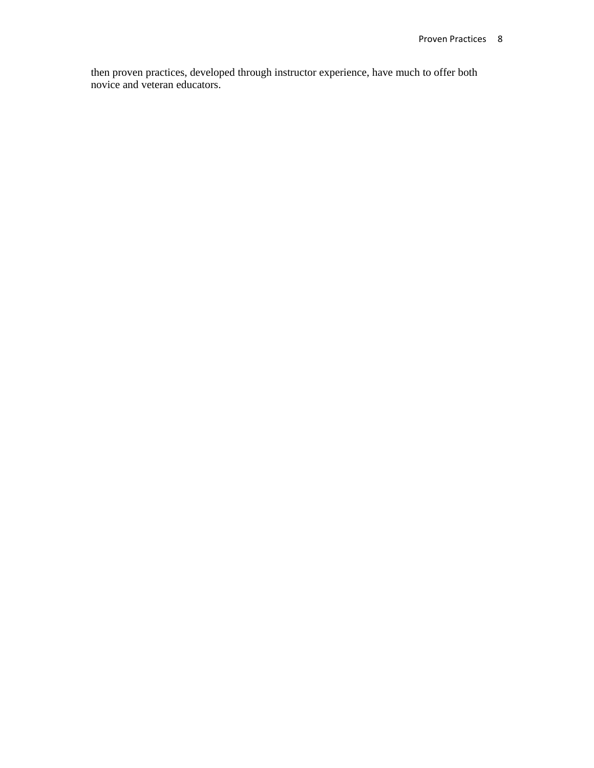then proven practices, developed through instructor experience, have much to offer both novice and veteran educators.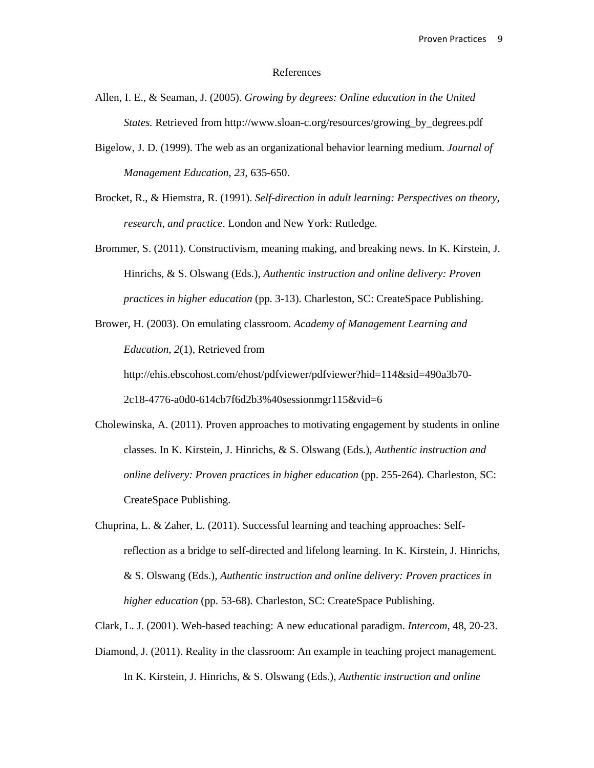### References

- Allen, I. E., & Seaman, J. (2005). *Growing by degrees: Online education in the United States.* Retrieved from http://www.sloan-c.org/resources/growing\_by\_degrees.pdf
- Bigelow, J. D. (1999). The web as an organizational behavior learning medium. *Journal of Management Education*, *23*, 635-650.
- Brocket, R., & Hiemstra, R. (1991). *Self-direction in adult learning: Perspectives on theory, research, and practice*. London and New York: Rutledge.
- Brommer, S. (2011). Constructivism, meaning making, and breaking news. In K. Kirstein, J. Hinrichs, & S. Olswang (Eds.), *Authentic instruction and online delivery: Proven practices in higher education* (pp. 3-13)*.* Charleston, SC: CreateSpace Publishing.
- Brower, H. (2003). On emulating classroom. *Academy of Management Learning and Education*, *2*(1), Retrieved from http://ehis.ebscohost.com/ehost/pdfviewer/pdfviewer?hid=114&sid=490a3b70- 2c18-4776-a0d0-614cb7f6d2b3%40sessionmgr115&vid=6
- Cholewinska, A. (2011). Proven approaches to motivating engagement by students in online classes. In K. Kirstein, J. Hinrichs, & S. Olswang (Eds.), *Authentic instruction and online delivery: Proven practices in higher education* (pp. 255-264). Charleston, SC: CreateSpace Publishing.
- Chuprina, L. & Zaher, L. (2011). Successful learning and teaching approaches: Selfreflection as a bridge to self-directed and lifelong learning. In K. Kirstein, J. Hinrichs, & S. Olswang (Eds.), *Authentic instruction and online delivery: Proven practices in higher education* (pp. 53-68)*.* Charleston, SC: CreateSpace Publishing.
- Clark, L. J. (2001). Web-based teaching: A new educational paradigm. *Intercom*, 48, 20-23.
- Diamond, J. (2011). Reality in the classroom: An example in teaching project management. In K. Kirstein, J. Hinrichs, & S. Olswang (Eds.), *Authentic instruction and online*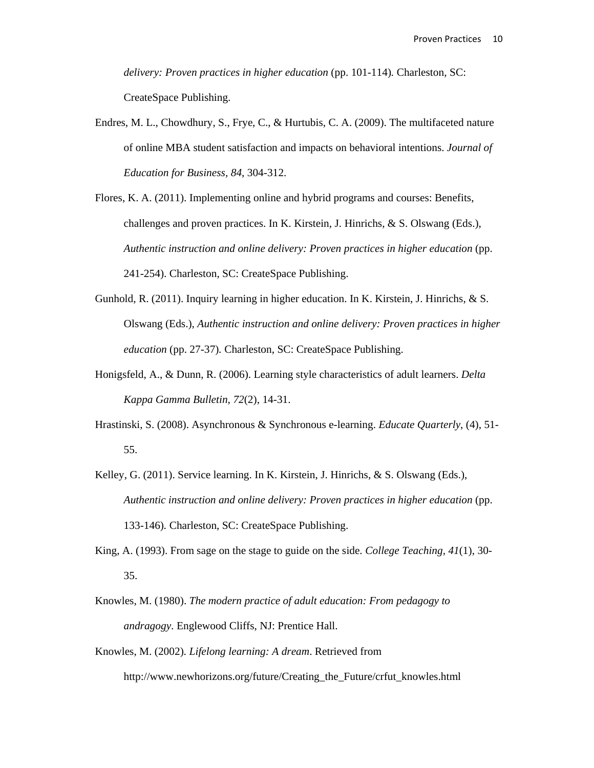*delivery: Proven practices in higher education* (pp. 101-114)*.* Charleston, SC: CreateSpace Publishing.

- Endres, M. L., Chowdhury, S., Frye, C., & Hurtubis, C. A. (2009). The multifaceted nature of online MBA student satisfaction and impacts on behavioral intentions. *Journal of Education for Business, 84*, 304-312.
- Flores, K. A. (2011). Implementing online and hybrid programs and courses: Benefits, challenges and proven practices. In K. Kirstein, J. Hinrichs, & S. Olswang (Eds.), *Authentic instruction and online delivery: Proven practices in higher education* (pp. 241-254). Charleston, SC: CreateSpace Publishing.
- Gunhold, R. (2011). Inquiry learning in higher education. In K. Kirstein, J. Hinrichs, & S. Olswang (Eds.), *Authentic instruction and online delivery: Proven practices in higher education* (pp. 27-37)*.* Charleston, SC: CreateSpace Publishing.
- Honigsfeld, A., & Dunn, R. (2006). Learning style characteristics of adult learners. *Delta Kappa Gamma Bulletin, 72*(2), 14-31.
- Hrastinski, S. (2008). Asynchronous & Synchronous e-learning. *Educate Quarterly*, (4), 51- 55.
- Kelley, G. (2011). Service learning. In K. Kirstein, J. Hinrichs, & S. Olswang (Eds.), *Authentic instruction and online delivery: Proven practices in higher education* (pp. 133-146)*.* Charleston, SC: CreateSpace Publishing.
- King, A. (1993). From sage on the stage to guide on the side. *College Teaching, 41*(1), 30- 35.
- Knowles, M. (1980). *The modern practice of adult education: From pedagogy to andragogy*. Englewood Cliffs, NJ: Prentice Hall.
- Knowles, M. (2002)*. Lifelong learning: A dream*. Retrieved from http://www.newhorizons.org/future/Creating\_the\_Future/crfut\_knowles.html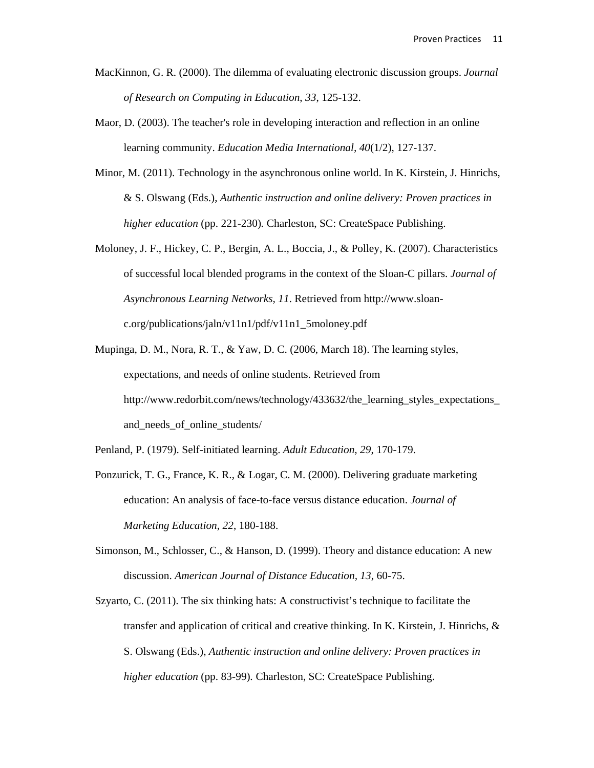- MacKinnon, G. R. (2000). The dilemma of evaluating electronic discussion groups. *Journal of Research on Computing in Education*, *33*, 125-132.
- Maor, D. (2003). The teacher's role in developing interaction and reflection in an online learning community. *Education Media International, 40*(1/2), 127-137.
- Minor, M. (2011). Technology in the asynchronous online world. In K. Kirstein, J. Hinrichs, & S. Olswang (Eds.), *Authentic instruction and online delivery: Proven practices in higher education* (pp. 221-230)*.* Charleston, SC: CreateSpace Publishing.
- Moloney, J. F., Hickey, C. P., Bergin, A. L., Boccia, J., & Polley, K. (2007). Characteristics of successful local blended programs in the context of the Sloan-C pillars. *Journal of Asynchronous Learning Networks, 11*. Retrieved from http://www.sloanc.org/publications/jaln/v11n1/pdf/v11n1\_5moloney.pdf
- Mupinga, D. M., Nora, R. T., & Yaw, D. C. (2006, March 18). The learning styles, expectations, and needs of online students. Retrieved from http://www.redorbit.com/news/technology/433632/the\_learning\_styles\_expectations\_ and needs of online students/
- Penland, P. (1979). Self-initiated learning. *Adult Education, 29*, 170-179.
- Ponzurick, T. G., France, K. R., & Logar, C. M. (2000). Delivering graduate marketing education: An analysis of face-to-face versus distance education. *Journal of Marketing Education, 22*, 180-188.
- Simonson, M., Schlosser, C., & Hanson, D. (1999). Theory and distance education: A new discussion. *American Journal of Distance Education, 13*, 60-75.
- Szyarto, C. (2011). The six thinking hats: A constructivist's technique to facilitate the transfer and application of critical and creative thinking. In K. Kirstein, J. Hinrichs, & S. Olswang (Eds.), *Authentic instruction and online delivery: Proven practices in higher education* (pp. 83-99)*.* Charleston, SC: CreateSpace Publishing.